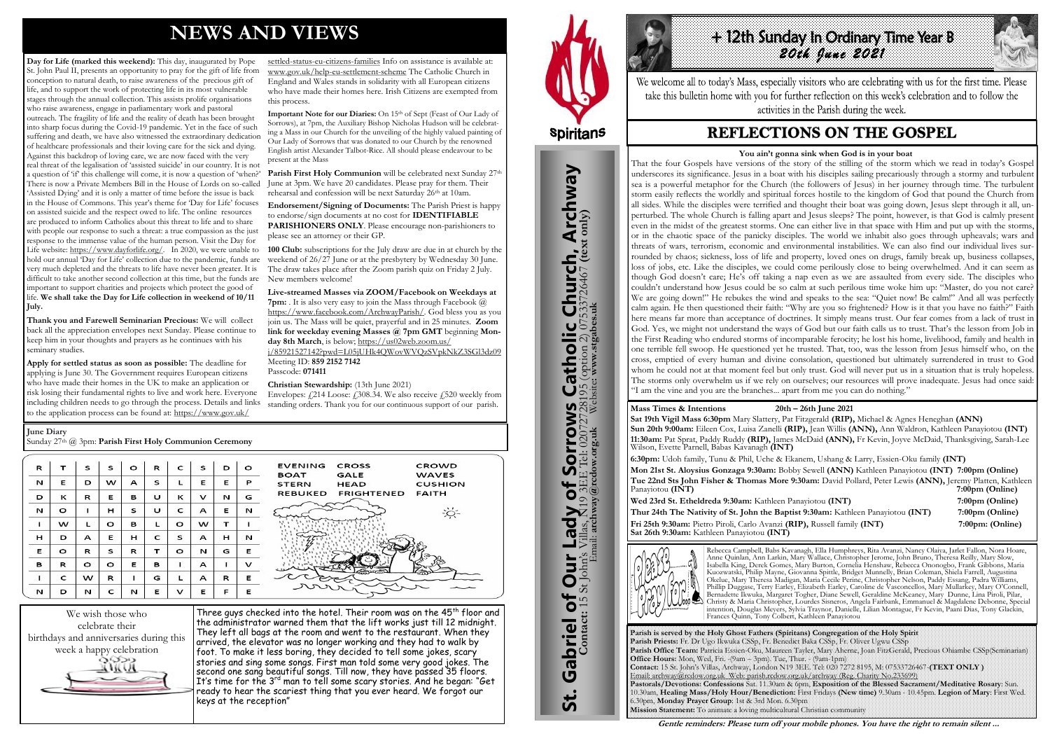# **NEWS AND VIEWS**

**Day for Life (marked this weekend):** This day, inaugurated by Pope St. John Paul II, presents an opportunity to pray for the gift of life from conception to natural death, to raise awareness of the precious gift of life, and to support the work of protecting life in its most vulnerable stages through the annual collection. This assists prolife organisations who raise awareness, engage in parliamentary work and pastoral outreach. The fragility of life and the reality of death has been brought into sharp focus during the Covid-19 pandemic. Yet in the face of such suffering and death, we have also witnessed the extraordinary dedication of healthcare professionals and their loving care for the sick and dying. Against this backdrop of loving care, we are now faced with the very real threat of the legalisation of 'assisted suicide' in our country. It is not a question of 'if' this challenge will come, it is now a question of 'when?' There is now a Private Members Bill in the House of Lords on so-called 'Assisted Dying' and it is only a matter of time before the issue is back in the House of Commons. This year's theme for 'Day for Life' focuses on assisted suicide and the respect owed to life. The online resources are produced to inform Catholics about this threat to life and to share with people our response to such a threat: a true compassion as the just response to the immense value of the human person. Visit the Day for Life website: [https://www.dayforlife.org/.](https://www.dayforlife.org/) In 2020, we were unable to hold our annual Day for Life' collection due to the pandemic, funds are very much depleted and the threats to life have never been greater. It is difficult to take another second collection at this time, but the funds are important to support charities and projects which protect the good of life. **We shall take the Day for Life collection in weekend of 10/11 July.** 

**Important Note for our Diaries:** On 15<sup>th</sup> of Sept (Feast of Our Lady of Sorrows), at 7pm, the Auxiliary Bishop Nicholas Hudson will be celebrating a Mass in our Church for the unveiling of the highly valued painting of Our Lady of Sorrows that was donated to our Church by the renowned English artist Alexander Talbot-Rice. All should please endeavour to be

Parish First Holy Communion will be celebrated next Sunday 27<sup>th</sup> June at 3pm. We have 20 candidates. Please pray for them. Their rehearsal and confession will be next Saturday 26th at 10am.

**Live-streamed Masses via ZOOM/Facebook on Weekdays at 7pm:** . It is also very easy to join the Mass through Facebook @ [https://www.facebook.com/ArchwayParish/.](https://www.facebook.com/ArchwayParish/) God bless you as you join us. The Mass will be quiet, prayerful and in 25 minutes. **Zoom**  link for weekday evening Masses @ 7pm GMT beginning Mon-

**Thank you and Farewell Seminarian Precious:** We will collect back all the appreciation envelopes next Sunday. Please continue to keep him in your thoughts and prayers as he continues with his seminary studies.

> Envelopes:  $\angle$  214 Loose:  $\angle$  308.34. We also receive  $\angle$  520 weekly from standing orders. Thank you for our continuous support of our parish.

> > CROWD

**WAVES** 

**FAITH** 

**CUSHION** 

**Apply for settled status as soon as possible:** The deadline for applying is June 30. The Government requires European citizens who have made their homes in the UK to make an application or risk losing their fundamental rights to live and work here. Everyone including children needs to go through the process. Details and links to the application process can be found at: [https://www.gov.uk/](https://www.gov.uk/settled-status-eu-citizens-families)

> Three guys checked into the hotel. Their room was on the 45<sup>th</sup> floor and the administrator warned them that the lift works just till 12 midnight. They left all bags at the room and went to the restaurant. When they arrived, the elevator was no longer working and they had to walk by foot. To make it less boring, they decided to tell some jokes, scary stories and sing some songs. First man told some very good jokes. The second one sang beautiful songs. Till now, they have passed 35 floors. It's time for the 3<sup>rd</sup> man to tell some scary stories. And he began: "Get ready to hear the scariest thing that you ever heard. We forgot our keys at the reception"



St. Gabriel of Our Lady of Sorrows Catholic Church, Archway

Sorrows

 $\overline{\mathbf{b}}$ 

**Lady** 

**Our** 

Gabriel of Our

<u>ჭ</u>

**S Catholic Church, Archway**<br>28195 (option 2) 07533726467 (text only)

# **H2th Sunday In Ordinary Time Year B** *20th June 2021*

We welcome all to today's Mass, especially visitors who are celebrating with us for the first time. Please take this bulletin home with you for further reflection on this week's celebration and to follow the activities in the Parish during the week.

# **REFLECTIONS ON THE GOSPEL**

[settled-status-eu-citizens-families](https://www.gov.uk/settled-status-eu-citizens-families) Info on assistance is available at: [www.gov.uk/help-eu-settlement-scheme](http://www.gov.uk/help-eu-settlement-scheme) The Catholic Church in England and Wales stands in solidarity with all European citizens who have made their homes here. Irish Citizens are exempted from

this process.

present at the Mass

**Endorsement/Signing of Documents:** The Parish Priest is happy to endorse/sign documents at no cost for **IDENTIFIABLE PARISHIONERS ONLY**. Please encourage non-parishioners to

please see an attorney or their GP.

**100 Club:** subscriptions for the July draw are due in at church by the weekend of 26/27 June or at the presbytery by Wednesday 30 June. The draw takes place after the Zoom parish quiz on Friday 2 July.

New members welcome!

**day 8th March**, is below; [https://us02web.zoom.us/](https://us02web.zoom.us/j/85921527142?pwd=L05jUHk4QWovWVQzSVpkNkZ3SGl3dz09)

[j/85921527142?pwd=L05jUHk4QWovWVQzSVpkNkZ3SGl3dz09](https://us02web.zoom.us/j/85921527142?pwd=L05jUHk4QWovWVQzSVpkNkZ3SGl3dz09)

Meeting ID: **859 2152 7142** 

Passcode: **071411** 

**Christian Stewardship:** (13th June 2021)

CROSS

GALE

**HEAD** 

**FRIGHTENED** 



**June Diary**

Sunday 27th @ 3pm: **Parish First Holy Communion Ceremony** 

| R | т | s | s | $\circ$ | R | $\mathbf{C}$ | s | D | $\Omega$ | <b>EVENING</b><br><b>BOAT</b> |
|---|---|---|---|---------|---|--------------|---|---|----------|-------------------------------|
| N | Е | D | w | А       | s | L            | Е | Е | P        | <b>STERN</b>                  |
| D | к | R | Е | в       | υ | к            | v | N | G        | <b>REBUKED</b>                |
| N | o | 1 | н | s       | υ | c            | А | Е | N        |                               |
| 1 | w | L | o | в       | L | o            | w | т | ı        |                               |
| н | D | А | Е | н       | c | s            | А | н | N        |                               |
| Е | o | R | s | R       | т | o            | N | G | Е        |                               |
| в | R | o | o | Е       | в | ı            | А | ı | v        |                               |
| ı | c | w | R | ٠       | G | L            | А | R | Е        |                               |
| N | D | N | c | N       | Е | v            | Е | F | Е        | へ                             |

**Parish is served by the Holy Ghost Fathers (Spiritans) Congregation of the Holy Spirit Parish Priests:** Fr. Dr Ugo Ikwuka CSSp, Fr. Benedict Baka CSSp, Fr. Oliver Ugwu CSSp **Parish Office Team:** Patricia Essien-Oku, Maureen Tayler, Mary Aherne, Joan FitzGerald, Precious Ohiambe CSSp(Seminarian) **Office Hours:** Mon, Wed, Fri. -(9am – 3pm). Tue, Thur. - (9am-1pm) **Contact:** 15 St. John's Villas, Archway, London N19 3EE. Tel: 020 7272 8195, M: 07533726467-**(TEXT ONLY )** Email: archway@rcdow.org.uk Web: parish.rcdow.org.uk/archway (Reg. Charity No.233699) **Pastorals/Devotions: Confessions** Sat. 11.30am & 6pm, **Exposition of the Blessed Sacrament/Meditative Rosary**: Sun. 10.30am, **Healing Mass/Holy Hour/Benediction:** First Fridays **(New time)** 9.30am - 10.45pm. **Legion of Mary**: First Wed. 6.30pm, **Monday Prayer Group**: 1st & 3rd Mon. 6.30pm **Mission Statement:** To animate a loving multicultural Christian community

**Contact:** 15 St John's Villas, N19 3EE Tel: 02072728195 (option 2) 07533726467 **(text only)** Email: **archway@rcdow.org.uk** Website**: www.stgabes.uk**

i's Villas, N19 3EE Tel: 0207<br><sup>E</sup>mail: archway@rcdow.org.uk

 $\mathbb{Z}$ 

**Mass Times & Intentions 20th – 26th June 2021**

**Sat 19th Vigil Mass 6:30pm** Mary Slattery, Pat Fitzgerald **(RIP),** Michael & Agnes Heneghan **(ANN) Sun 20th 9:00am:** Eileen Cox, Luisa Zanelli **(RIP),** Jean Willis **(ANN),** Ann Waldron, Kathleen Panayiotou **(INT) 11:30am:** Pat Sprat, Paddy Ruddy **(RIP),** James McDaid **(ANN),** Fr Kevin, Joyve McDaid, Thanksgiving, Sarah-Lee Wilson, Evette Parnell, Babas Kavanagh **(INT)**

**6:30pm:** Udoh family, Tunu & Phil, Uche & Ekanem, Ushang & Larry, Essien-Oku family **(INT) Mon 21st St. Aloysius Gonzaga 9:30am:** Bobby Sewell **(ANN)** Kathleen Panayiotou **(INT) 7:00pm (Online) Tue 22nd Sts John Fisher & Thomas More 9:30am:** David Pollard, Peter Lewis **(ANN),** Jeremy Platten, Kathleen 7:00pm (Online) **Wed 23rd St. Etheldreda 9:30am:** Kathleen Panayiotou **(INT) 7:00pm (Online) Thur 24th The Nativity of St. John the Baptist 9:30am:** Kathleen Panayiotou **(INT) 7:00pm (Online) Fri 25th 9:30am:** Pietro Piroli, Carlo Avanzi **(RIP),** Russell family **(INT) 7:00pm: (Online) Sat 26th 9:30am:** Kathleen Panayiotou **(INT)** 



Rebecca Campbell, Babs Kavanagh, Ella Humphreys, Rita Avanzi, Nancy Olaiya, Jarlet Fallon, Nora Hoare, Anne Quinlan, Ann Larkin, Mary Wallace, Christopher Jerome, John Bruno, Theresa Reilly, Mary Slow, Isabella King, Derek Gomes, Mary Burton, Cornelia Henshaw, Rebecca Ononogbo, Frank Gibbons, Maria Kuozwatski, Philip Mayne, Giovanna Spittle, Bridget Munnelly, Brian Coleman, Shiela Farrell, Augustina Okelue, Mary Theresa Madigan, Maria Cecile Perine, Christopher Nelson, Paddy Essang, Padra Williams, Phillip Duggase, Terry Earley, Elizabeth Earley, Caroline de Vasconcellos, Mary Mullarkey, Mary O'Connell, Bernadette Ikwuka, Margaret Togher, Diane Sewell, Geraldine McKeaney, Mary Dunne, Lina Piroli, Pilar, Christy & Maria Christopher, Lourdes Sisneros, Angela Fairbank, Emmanuel & Magdalene Debonne, Special intention, Douglas Meyers, Sylvia Traynor, Danielle, Lilian Montague, Fr Kevin, Paani Dias, Tony Glackin, Frances Quinn, Tony Colbert, Kathleen Panayiotou

**Gentle reminders: Please turn off your mobile phones. You have the right to remain silent ...** 

#### **You ain't gonna sink when God is in your boat**

That the four Gospels have versions of the story of the stilling of the storm which we read in today's Gospel underscores its significance. Jesus in a boat with his disciples sailing precariously through a stormy and turbulent sea is a powerful metaphor for the Church (the followers of Jesus) in her journey through time. The turbulent storm easily reflects the worldly and spiritual forces hostile to the kingdom of God that pound the Church from all sides. While the disciples were terrified and thought their boat was going down, Jesus slept through it all, unperturbed. The whole Church is falling apart and Jesus sleeps? The point, however, is that God is calmly present even in the midst of the greatest storms. One can either live in that space with Him and put up with the storms, or in the chaotic space of the panicky disciples. The world we inhabit also goes through upheavals; wars and threats of wars, terrorism, economic and environmental instabilities. We can also find our individual lives surrounded by chaos; sickness, loss of life and property, loved ones on drugs, family break up, business collapses, loss of jobs, etc. Like the disciples, we could come perilously close to being overwhelmed. And it can seem as though God doesn't care; He's off taking a nap even as we are assaulted from every side. The disciples who couldn't understand how Jesus could be so calm at such perilous time woke him up: "Master, do you not care? We are going down!" He rebukes the wind and speaks to the sea: "Quiet now! Be calm!" And all was perfectly calm again. He then questioned their faith: "Why are you so frightened? How is it that you have no faith?" Faith here means far more than acceptance of doctrines. It simply means trust. Our fear comes from a lack of trust in God. Yes, we might not understand the ways of God but our faith calls us to trust. That's the lesson from Job in the First Reading who endured storms of incomparable ferocity; he lost his home, livelihood, family and health in one terrible fell swoop. He questioned yet he trusted. That, too, was the lesson from Jesus himself who, on the cross, emptied of every human and divine consolation, questioned but ultimately surrendered in trust to God whom he could not at that moment feel but only trust. God will never put us in a situation that is truly hopeless. The storms only overwhelm us if we rely on ourselves; our resources will prove inadequate. Jesus had once said: "I am the vine and you are the branches... apart from me you can do nothing."